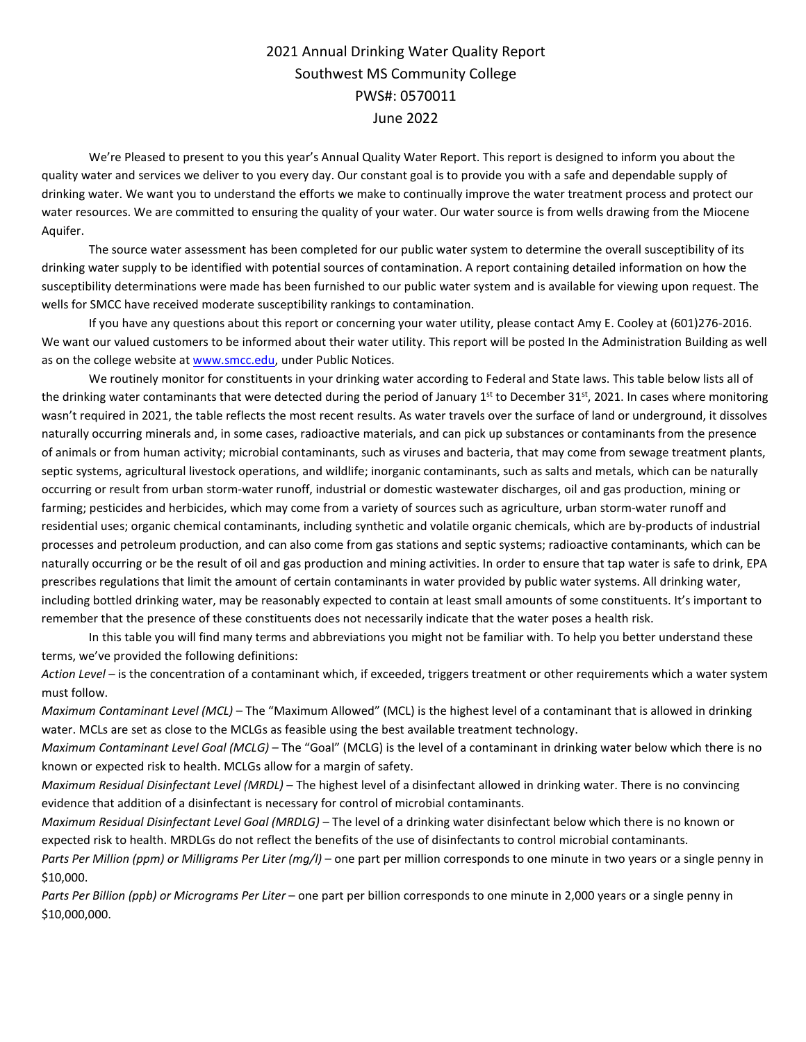## 2021 Annual Drinking Water Quality Report Southwest MS Community College PWS#: 0570011 June 2022

We're Pleased to present to you this year's Annual Quality Water Report. This report is designed to inform you about the quality water and services we deliver to you every day. Our constant goal is to provide you with a safe and dependable supply of drinking water. We want you to understand the efforts we make to continually improve the water treatment process and protect our water resources. We are committed to ensuring the quality of your water. Our water source is from wells drawing from the Miocene Aquifer.

The source water assessment has been completed for our public water system to determine the overall susceptibility of its drinking water supply to be identified with potential sources of contamination. A report containing detailed information on how the susceptibility determinations were made has been furnished to our public water system and is available for viewing upon request. The wells for SMCC have received moderate susceptibility rankings to contamination.

If you have any questions about this report or concerning your water utility, please contact Amy E. Cooley at (601)276-2016. We want our valued customers to be informed about their water utility. This report will be posted In the Administration Building as well as on the college website a[t www.smcc.edu,](http://www.smcc.edu/) under Public Notices.

We routinely monitor for constituents in your drinking water according to Federal and State laws. This table below lists all of the drinking water contaminants that were detected during the period of January  $1<sup>st</sup>$  to December 31 $<sup>st</sup>$ , 2021. In cases where monitoring</sup> wasn't required in 2021, the table reflects the most recent results. As water travels over the surface of land or underground, it dissolves naturally occurring minerals and, in some cases, radioactive materials, and can pick up substances or contaminants from the presence of animals or from human activity; microbial contaminants, such as viruses and bacteria, that may come from sewage treatment plants, septic systems, agricultural livestock operations, and wildlife; inorganic contaminants, such as salts and metals, which can be naturally occurring or result from urban storm-water runoff, industrial or domestic wastewater discharges, oil and gas production, mining or farming; pesticides and herbicides, which may come from a variety of sources such as agriculture, urban storm-water runoff and residential uses; organic chemical contaminants, including synthetic and volatile organic chemicals, which are by-products of industrial processes and petroleum production, and can also come from gas stations and septic systems; radioactive contaminants, which can be naturally occurring or be the result of oil and gas production and mining activities. In order to ensure that tap water is safe to drink, EPA prescribes regulations that limit the amount of certain contaminants in water provided by public water systems. All drinking water, including bottled drinking water, may be reasonably expected to contain at least small amounts of some constituents. It's important to remember that the presence of these constituents does not necessarily indicate that the water poses a health risk.

In this table you will find many terms and abbreviations you might not be familiar with. To help you better understand these terms, we've provided the following definitions:

*Action Level* – is the concentration of a contaminant which, if exceeded, triggers treatment or other requirements which a water system must follow.

*Maximum Contaminant Level (MCL)* – The "Maximum Allowed" (MCL) is the highest level of a contaminant that is allowed in drinking water. MCLs are set as close to the MCLGs as feasible using the best available treatment technology.

*Maximum Contaminant Level Goal (MCLG)* – The "Goal" (MCLG) is the level of a contaminant in drinking water below which there is no known or expected risk to health. MCLGs allow for a margin of safety.

*Maximum Residual Disinfectant Level (MRDL)* – The highest level of a disinfectant allowed in drinking water. There is no convincing evidence that addition of a disinfectant is necessary for control of microbial contaminants.

*Maximum Residual Disinfectant Level Goal (MRDLG)* – The level of a drinking water disinfectant below which there is no known or expected risk to health. MRDLGs do not reflect the benefits of the use of disinfectants to control microbial contaminants.

*Parts Per Million (ppm) or Milligrams Per Liter (mg/l)* – one part per million corresponds to one minute in two years or a single penny in \$10,000.

*Parts Per Billion (ppb) or Micrograms Per Liter* – one part per billion corresponds to one minute in 2,000 years or a single penny in \$10,000,000.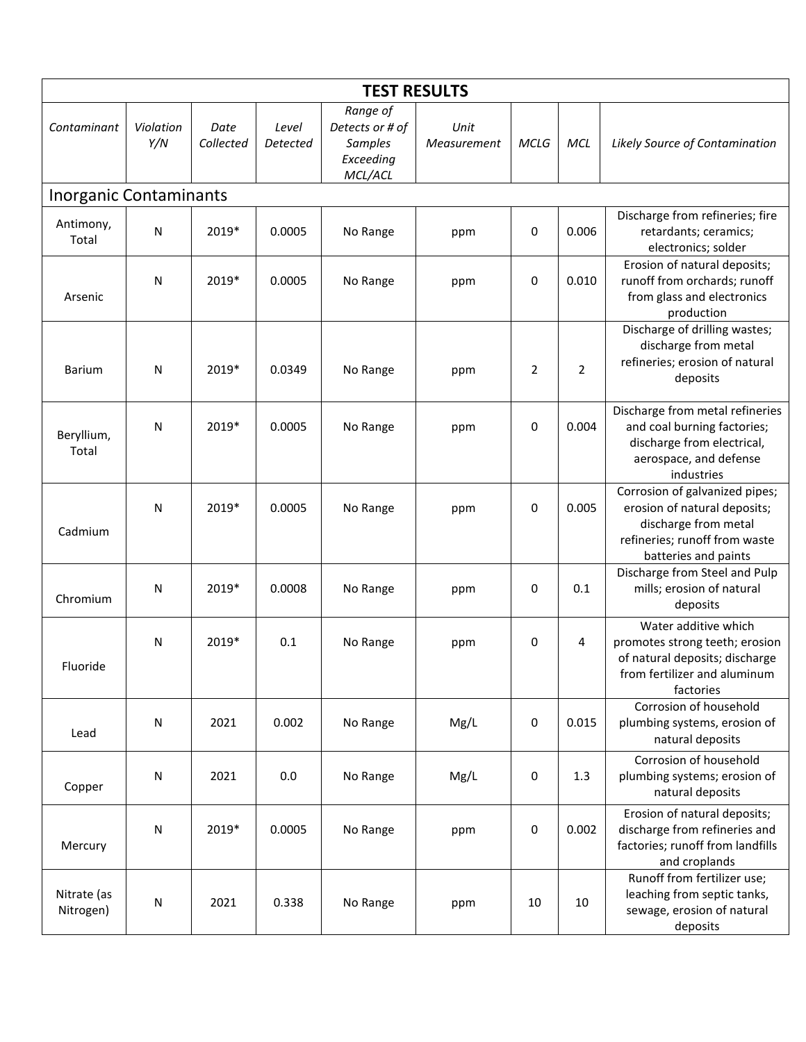| <b>TEST RESULTS</b>           |                  |                   |                   |                                                                |                     |                |                |                                                                                                                                                 |  |
|-------------------------------|------------------|-------------------|-------------------|----------------------------------------------------------------|---------------------|----------------|----------------|-------------------------------------------------------------------------------------------------------------------------------------------------|--|
| Contaminant                   | Violation<br>Y/N | Date<br>Collected | Level<br>Detected | Range of<br>Detects or # of<br>Samples<br>Exceeding<br>MCL/ACL | Unit<br>Measurement | MCLG           | <b>MCL</b>     | Likely Source of Contamination                                                                                                                  |  |
| <b>Inorganic Contaminants</b> |                  |                   |                   |                                                                |                     |                |                |                                                                                                                                                 |  |
| Antimony,<br>Total            | $\mathsf{N}$     | 2019*             | 0.0005            | No Range                                                       | ppm                 | 0              | 0.006          | Discharge from refineries; fire<br>retardants; ceramics;<br>electronics; solder                                                                 |  |
| Arsenic                       | $\mathsf{N}$     | 2019*             | 0.0005            | No Range                                                       | ppm                 | $\mathbf 0$    | 0.010          | Erosion of natural deposits;<br>runoff from orchards; runoff<br>from glass and electronics<br>production                                        |  |
| <b>Barium</b>                 | N                | 2019*             | 0.0349            | No Range                                                       | ppm                 | $\overline{2}$ | $\overline{2}$ | Discharge of drilling wastes;<br>discharge from metal<br>refineries; erosion of natural<br>deposits                                             |  |
| Beryllium,<br>Total           | $\mathsf{N}$     | 2019*             | 0.0005            | No Range                                                       | ppm                 | $\mathbf 0$    | 0.004          | Discharge from metal refineries<br>and coal burning factories;<br>discharge from electrical,<br>aerospace, and defense<br>industries            |  |
| Cadmium                       | $\mathsf{N}$     | 2019*             | 0.0005            | No Range                                                       | ppm                 | $\mathbf 0$    | 0.005          | Corrosion of galvanized pipes;<br>erosion of natural deposits;<br>discharge from metal<br>refineries; runoff from waste<br>batteries and paints |  |
| Chromium                      | $\mathsf{N}$     | 2019*             | 0.0008            | No Range                                                       | ppm                 | 0              | 0.1            | Discharge from Steel and Pulp<br>mills; erosion of natural<br>deposits                                                                          |  |
| Fluoride                      | $\mathsf{N}$     | 2019*             | 0.1               | No Range                                                       | ppm                 | 0              | 4              | Water additive which<br>promotes strong teeth; erosion<br>of natural deposits; discharge<br>from fertilizer and aluminum<br>factories           |  |
| Lead                          | ${\sf N}$        | 2021              | 0.002             | No Range                                                       | Mg/L                | $\mathbf 0$    | 0.015          | Corrosion of household<br>plumbing systems, erosion of<br>natural deposits                                                                      |  |
| Copper                        | $\mathsf{N}$     | 2021              | 0.0               | No Range                                                       | Mg/L                | 0              | 1.3            | Corrosion of household<br>plumbing systems; erosion of<br>natural deposits                                                                      |  |
| Mercury                       | $\mathsf{N}$     | 2019*             | 0.0005            | No Range                                                       | ppm                 | $\mathbf 0$    | 0.002          | Erosion of natural deposits;<br>discharge from refineries and<br>factories; runoff from landfills<br>and croplands                              |  |
| Nitrate (as<br>Nitrogen)      | $\mathsf{N}$     | 2021              | 0.338             | No Range                                                       | ppm                 | 10             | 10             | Runoff from fertilizer use;<br>leaching from septic tanks,<br>sewage, erosion of natural<br>deposits                                            |  |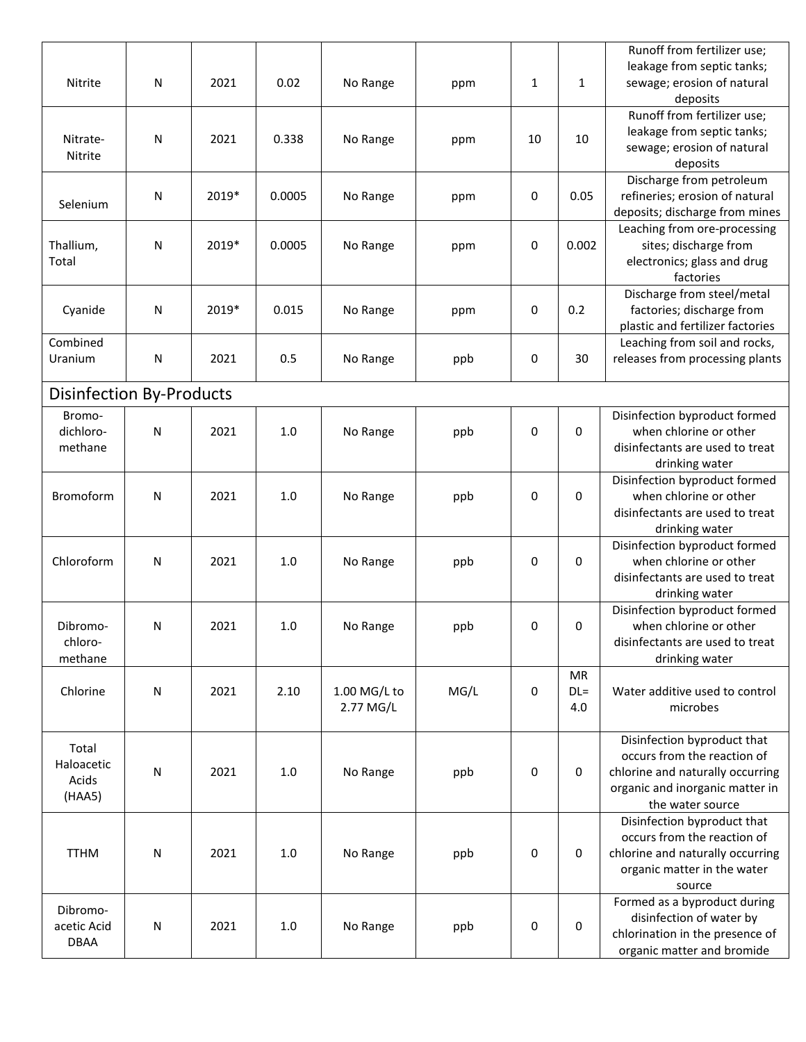| Nitrite                                | N         | 2021  | 0.02   | No Range                    | ppm  | 1  | 1                          | Runoff from fertilizer use;<br>leakage from septic tanks;<br>sewage; erosion of natural<br>deposits                                                   |
|----------------------------------------|-----------|-------|--------|-----------------------------|------|----|----------------------------|-------------------------------------------------------------------------------------------------------------------------------------------------------|
| Nitrate-<br>Nitrite                    | N         | 2021  | 0.338  | No Range                    | ppm  | 10 | 10                         | Runoff from fertilizer use;<br>leakage from septic tanks;<br>sewage; erosion of natural<br>deposits                                                   |
| Selenium                               | N         | 2019* | 0.0005 | No Range                    | ppm  | 0  | 0.05                       | Discharge from petroleum<br>refineries; erosion of natural<br>deposits; discharge from mines                                                          |
| Thallium,<br>Total                     | N         | 2019* | 0.0005 | No Range                    | ppm  | 0  | 0.002                      | Leaching from ore-processing<br>sites; discharge from<br>electronics; glass and drug<br>factories                                                     |
| Cyanide                                | N         | 2019* | 0.015  | No Range                    | ppm  | 0  | 0.2                        | Discharge from steel/metal<br>factories; discharge from<br>plastic and fertilizer factories                                                           |
| Combined<br>Uranium                    | N         | 2021  | 0.5    | No Range                    | ppb  | 0  | 30                         | Leaching from soil and rocks,<br>releases from processing plants                                                                                      |
| <b>Disinfection By-Products</b>        |           |       |        |                             |      |    |                            |                                                                                                                                                       |
| Bromo-<br>dichloro-<br>methane         | N         | 2021  | 1.0    | No Range                    | ppb  | 0  | 0                          | Disinfection byproduct formed<br>when chlorine or other<br>disinfectants are used to treat<br>drinking water                                          |
| <b>Bromoform</b>                       | N         | 2021  | 1.0    | No Range                    | ppb  | 0  | 0                          | Disinfection byproduct formed<br>when chlorine or other<br>disinfectants are used to treat<br>drinking water                                          |
| Chloroform                             | N         | 2021  | 1.0    | No Range                    | ppb  | 0  | 0                          | Disinfection byproduct formed<br>when chlorine or other<br>disinfectants are used to treat<br>drinking water                                          |
| Dibromo-<br>chloro-<br>methane         | Ν         | 2021  | 1.0    | No Range                    | ppb  | 0  | 0                          | Disinfection byproduct formed<br>when chlorine or other<br>disinfectants are used to treat<br>drinking water                                          |
| Chlorine                               | ${\sf N}$ | 2021  | 2.10   | $1.00$ MG/L to<br>2.77 MG/L | MG/L | 0  | <b>MR</b><br>$DL =$<br>4.0 | Water additive used to control<br>microbes                                                                                                            |
| Total<br>Haloacetic<br>Acids<br>(HAA5) | ${\sf N}$ | 2021  | 1.0    | No Range                    | ppb  | 0  | 0                          | Disinfection byproduct that<br>occurs from the reaction of<br>chlorine and naturally occurring<br>organic and inorganic matter in<br>the water source |
| <b>TTHM</b>                            | N         | 2021  | 1.0    | No Range                    | ppb  | 0  | 0                          | Disinfection byproduct that<br>occurs from the reaction of<br>chlorine and naturally occurring<br>organic matter in the water<br>source               |
| Dibromo-<br>acetic Acid<br><b>DBAA</b> | N         | 2021  | 1.0    | No Range                    | ppb  | 0  | 0                          | Formed as a byproduct during<br>disinfection of water by<br>chlorination in the presence of<br>organic matter and bromide                             |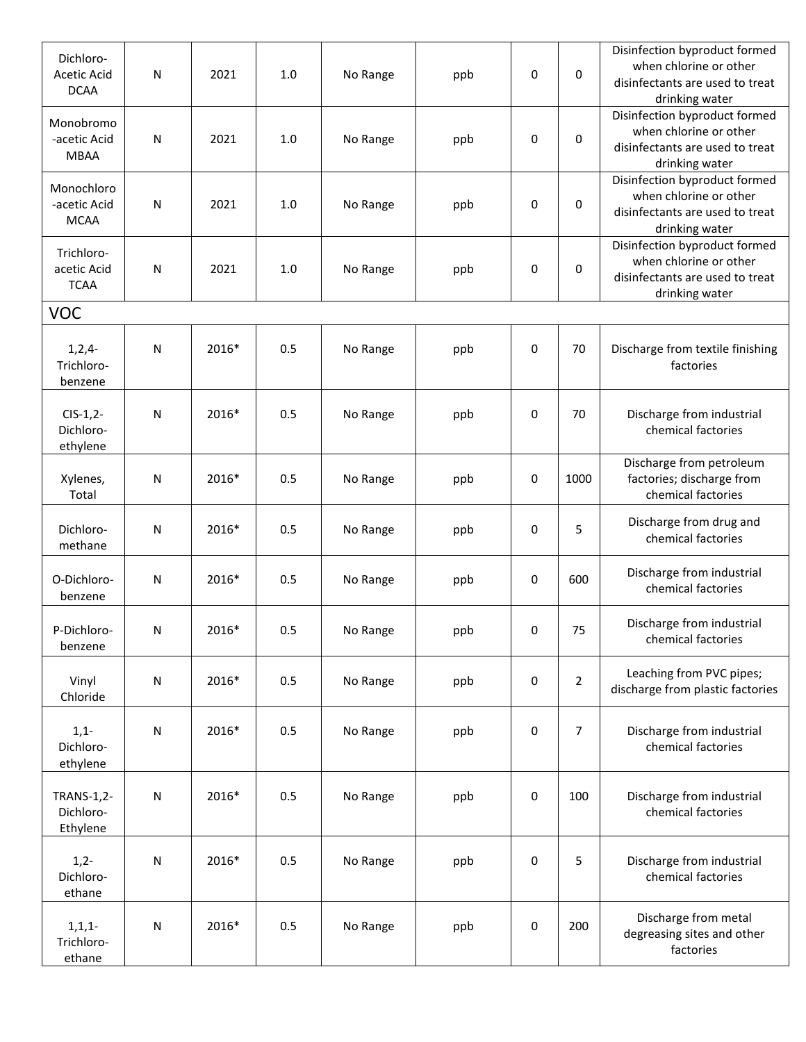| Dichloro-<br>Acetic Acid<br><b>DCAA</b>    | N            | 2021  | 1.0 | No Range | ppb | 0 | 0              | Disinfection byproduct formed<br>when chlorine or other<br>disinfectants are used to treat<br>drinking water |
|--------------------------------------------|--------------|-------|-----|----------|-----|---|----------------|--------------------------------------------------------------------------------------------------------------|
| Monobromo<br>-acetic Acid<br><b>MBAA</b>   | ${\sf N}$    | 2021  | 1.0 | No Range | ppb | 0 | 0              | Disinfection byproduct formed<br>when chlorine or other<br>disinfectants are used to treat<br>drinking water |
| Monochloro<br>-acetic Acid<br><b>MCAA</b>  | ${\sf N}$    | 2021  | 1.0 | No Range | ppb | 0 | 0              | Disinfection byproduct formed<br>when chlorine or other<br>disinfectants are used to treat<br>drinking water |
| Trichloro-<br>acetic Acid<br><b>TCAA</b>   | ${\sf N}$    | 2021  | 1.0 | No Range | ppb | 0 | 0              | Disinfection byproduct formed<br>when chlorine or other<br>disinfectants are used to treat<br>drinking water |
| <b>VOC</b>                                 |              |       |     |          |     |   |                |                                                                                                              |
| $1, 2, 4-$<br>Trichloro-<br>benzene        | $\mathsf{N}$ | 2016* | 0.5 | No Range | ppb | 0 | 70             | Discharge from textile finishing<br>factories                                                                |
| $CIS-1,2-$<br>Dichloro-<br>ethylene        | N            | 2016* | 0.5 | No Range | ppb | 0 | 70             | Discharge from industrial<br>chemical factories                                                              |
| Xylenes,<br>Total                          | N            | 2016* | 0.5 | No Range | ppb | 0 | 1000           | Discharge from petroleum<br>factories; discharge from<br>chemical factories                                  |
| Dichloro-<br>methane                       | ${\sf N}$    | 2016* | 0.5 | No Range | ppb | 0 | 5              | Discharge from drug and<br>chemical factories                                                                |
| O-Dichloro-<br>benzene                     | ${\sf N}$    | 2016* | 0.5 | No Range | ppb | 0 | 600            | Discharge from industrial<br>chemical factories                                                              |
| P-Dichloro-<br>benzene                     | N            | 2016* | 0.5 | No Range | ppb | 0 | 75             | Discharge from industrial<br>chemical factories                                                              |
| Vinyl<br>Chloride                          | ${\sf N}$    | 2016* | 0.5 | No Range | ppb | 0 | $\overline{2}$ | Leaching from PVC pipes;<br>discharge from plastic factories                                                 |
| $1,1-$<br>Dichloro-<br>ethylene            | ${\sf N}$    | 2016* | 0.5 | No Range | ppb | 0 | $\overline{7}$ | Discharge from industrial<br>chemical factories                                                              |
| <b>TRANS-1,2-</b><br>Dichloro-<br>Ethylene | ${\sf N}$    | 2016* | 0.5 | No Range | ppb | 0 | 100            | Discharge from industrial<br>chemical factories                                                              |
| $1,2-$<br>Dichloro-<br>ethane              | ${\sf N}$    | 2016* | 0.5 | No Range | ppb | 0 | 5              | Discharge from industrial<br>chemical factories                                                              |
| $1, 1, 1-$<br>Trichloro-<br>ethane         | ${\sf N}$    | 2016* | 0.5 | No Range | ppb | 0 | 200            | Discharge from metal<br>degreasing sites and other<br>factories                                              |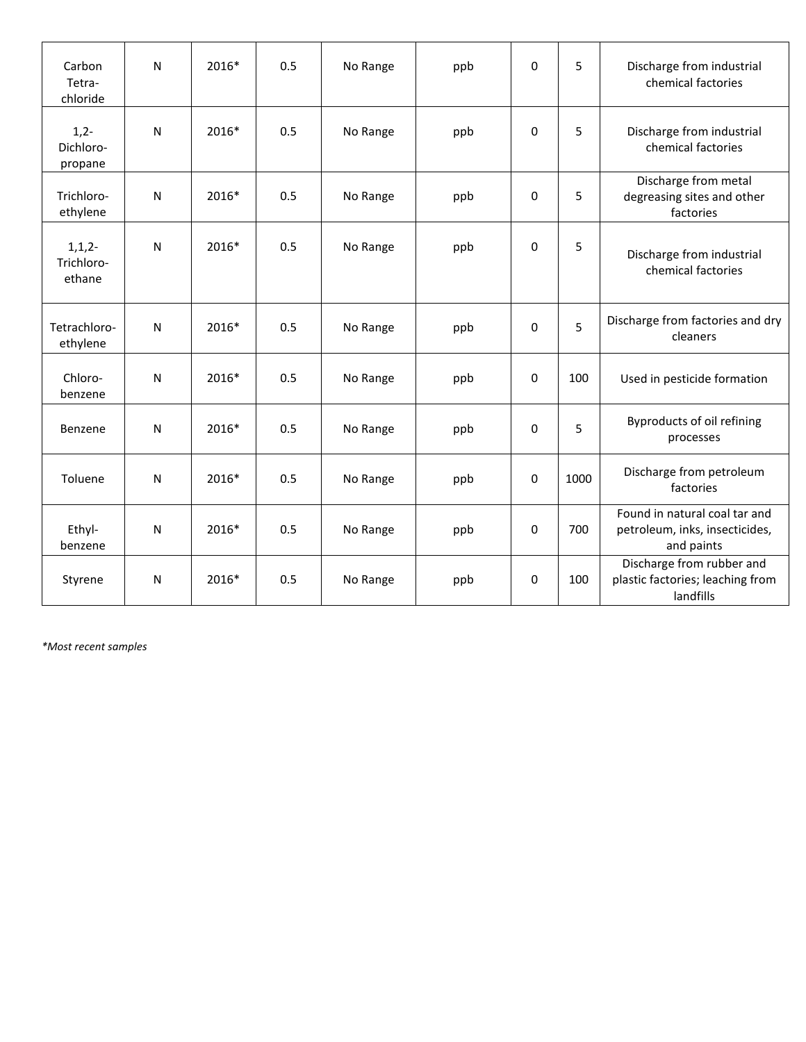| Carbon<br>Tetra-<br>chloride       | N            | 2016* | 0.5 | No Range | ppb | $\Omega$     | 5    | Discharge from industrial<br>chemical factories                               |
|------------------------------------|--------------|-------|-----|----------|-----|--------------|------|-------------------------------------------------------------------------------|
| $1,2-$<br>Dichloro-<br>propane     | ${\sf N}$    | 2016* | 0.5 | No Range | ppb | 0            | 5    | Discharge from industrial<br>chemical factories                               |
| Trichloro-<br>ethylene             | N            | 2016* | 0.5 | No Range | ppb | $\mathbf 0$  | 5    | Discharge from metal<br>degreasing sites and other<br>factories               |
| $1, 1, 2-$<br>Trichloro-<br>ethane | N            | 2016* | 0.5 | No Range | ppb | $\mathbf 0$  | 5    | Discharge from industrial<br>chemical factories                               |
| Tetrachloro-<br>ethylene           | N            | 2016* | 0.5 | No Range | ppb | $\mathbf 0$  | 5    | Discharge from factories and dry<br>cleaners                                  |
| Chloro-<br>benzene                 | $\mathsf{N}$ | 2016* | 0.5 | No Range | ppb | $\mathbf 0$  | 100  | Used in pesticide formation                                                   |
| Benzene                            | N            | 2016* | 0.5 | No Range | ppb | $\mathbf 0$  | 5    | Byproducts of oil refining<br>processes                                       |
| Toluene                            | N            | 2016* | 0.5 | No Range | ppb | $\mathbf 0$  | 1000 | Discharge from petroleum<br>factories                                         |
| Ethyl-<br>benzene                  | N            | 2016* | 0.5 | No Range | ppb | $\mathbf{0}$ | 700  | Found in natural coal tar and<br>petroleum, inks, insecticides,<br>and paints |
| Styrene                            | N            | 2016* | 0.5 | No Range | ppb | 0            | 100  | Discharge from rubber and<br>plastic factories; leaching from<br>landfills    |

*\*Most recent samples*